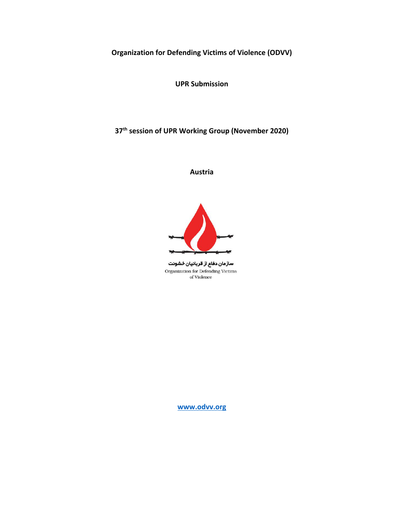**Organization for Defending Victims of Violence (ODVV)**

**UPR Submission**

**37th session of UPR Working Group (November 2020)**

**Austria**



سازمان دفاع از قربانیان خشونت Organization for Defending Victims of Violence

**[www.odvv.org](http://www.odvv.org)**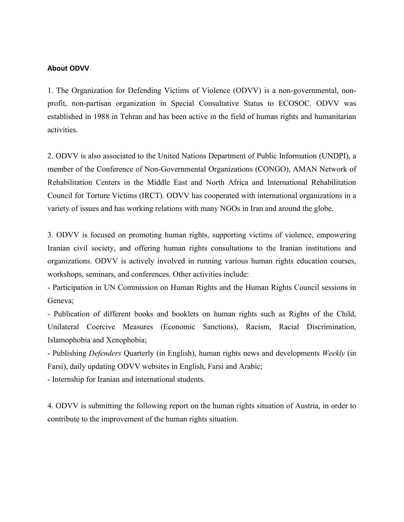#### **About ODVV**

1. The Organization for Defending Victims of Violence (ODVV) is <sup>a</sup> non-governmental, nonprofit, non-partisan organization in Special Consultative Status to ECOSOC. ODVV was established in 1988 in Tehran and has been active in the field of human rights and humanitarian activities.

2. ODVV is also associated to the United Nations Department of Public Information (UNDPI), <sup>a</sup> member of the Conference of Non-Governmental Organizations (CONGO), AMAN Network of Rehabilitation Centers in the Middle East and North Africa and International Rehabilitation Council for Torture Victims (IRCT). ODVV has cooperated with international organizations in <sup>a</sup> variety of issues and has working relations with many NGOs in Iran and around the globe.

3. ODVV is focused on promoting human rights, supporting victims of violence, empowering Iranian civil society, and offering human rights consultations to the Iranian institutions and organizations. ODVV is actively involved in running various human rights education courses, workshops, seminars, and conferences. Other activities include:

- Participation in UN Commission on Human Rights and the Human Rights Council sessions in Geneva;

- Publication of different books and booklets on human rights such as Rights of the Child, Unilateral Coercive Measures (Economic Sanctions), Racism, Racial Discrimination, Islamophobia and Xenophobia;

- Publishing *Defenders* Quarterly (in English), human rights news and developments *Weekly* (in Farsi), daily updating ODVV websites in English, Farsi and Arabic;

- Internship for Iranian and international students.

4. ODVV is submitting the following repor<sup>t</sup> on the human rights situation of Austria, in order to contribute to the improvement of the human rights situation.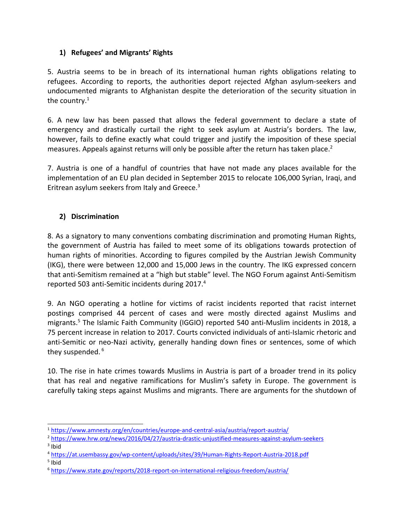# **1) Refugees' and Migrants' Rights**

5. Austria seems to be in breach of its international human rights obligations relating to refugees. According to reports, the authorities deport rejected Afghan asylum-seekers and undocumented migrants to Afghanistan despite the deterioration of the security situation in the country. $^{\rm 1}$ 

6. A new law has been passed that allows the federal government to declare <sup>a</sup> state of emergency and drastically curtail the right to seek asylum at Austria'<sup>s</sup> borders. The law, however, fails to define exactly what could trigger and justify the imposition of these special measures. Appeals against returns will only be possible after the return has taken place.<sup>2</sup>

7. Austria is one of <sup>a</sup> handful of countries that have not made any places available for the implementation of an EU plan decided in September 2015 to relocate 106,000 Syrian, Iraqi, and Eritrean asylum seekers from Italy and Greece. 3

# **2) Discrimination**

8. As <sup>a</sup> signatory to many conventions combating discrimination and promoting Human Rights, the government of Austria has failed to meet some of its obligations towards protection of human rights of minorities. According to figures compiled by the Austrian Jewish Community (IKG), there were between 12,000 and 15,000 Jews in the country. The IKG expressed concern that anti-Semitism remained at <sup>a</sup> "high but stable" level. The NGO Forum against Anti-Semitism reported 503 anti-Semitic incidents during 2017. 4

9. An NGO operating <sup>a</sup> hotline for victims of racist incidents reported that racist internet postings comprised 44 percent of cases and were mostly directed against Muslims and migrants. 5 The Islamic Faith Community (IGGIO) reported 540 anti-Muslim incidents in 2018, <sup>a</sup> 75 percent increase in relation to 2017. Courts convicted individuals of anti-Islamic rhetoric and anti-Semitic or neo-Nazi activity, generally handing down fines or sentences, some of which they suspended. 6

10. The rise in hate crimes towards Muslims in Austria is part of <sup>a</sup> broader trend in its policy that has real and negative ramifications for Muslim'<sup>s</sup> safety in Europe. The government is carefully taking steps against Muslims and migrants. There are arguments for the shutdown of

5 Ibid

<sup>1</sup> <https://www.amnesty.org/en/countries/europe-and-central-asia/austria/report-austria/>

<sup>2</sup> <https://www.hrw.org/news/2016/04/27/austria-drastic-unjustified-measures-against-asylum-seekers>

<sup>&</sup>lt;sup>3</sup> Ibid

<sup>4</sup> <https://at.usembassy.gov/wp-content/uploads/sites/39/Human-Rights-Report-Austria-2018.pdf>

<sup>6</sup> <https://www.state.gov/reports/2018-report-on-international-religious-freedom/austria/>